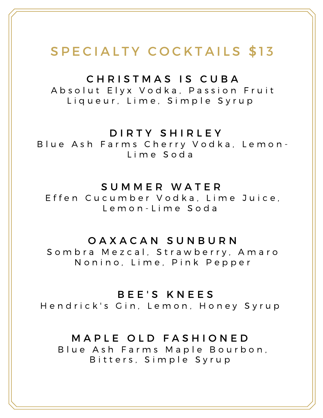### SPECIALTY COCKTAILS \$13

### CHRISTMAS IS CUBA

A b s o l u t E l y x V o d k a, P a s s i o n F r u i t Liqueur, Lime, Simple Syrup

### D I R T Y S H I R L E Y

B lue Ash Farms Cherry Vodka, Lemon-L i m e S o d a

#### S U M M E R W A T E R

Effen Cucumber Vodka, Lime Juice, L e m o n - L i m e S o d a

### O A X A C A N S U N B U R N

Sombra Mezcal, Strawberry, Amaro Nonino, Lime, Pink Pepper

#### BEE'S KNEES

Hendrick's Gin, Lemon, Honey Syrup

### MAPLE OLD FASHIONED

B lue Ash Farms Maple Bourbon, Bitters, Simple Syrup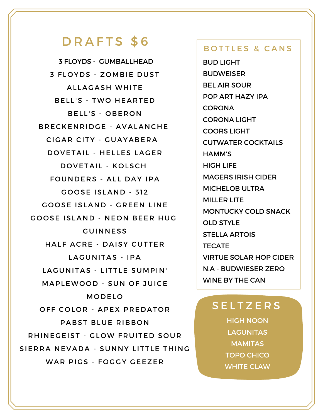### DRAFTS \$6

3 FLOYDS - GUMBALLHEAD **3 FLOYDS - ZOMBIE DUST** ALLAGASH WHITE BELL'S - TWO HEARTED BELL'S - OBERON BRECKENRIDGE - AVALANCHE CIGAR CITY - GUAYABERA DOVETAIL - HELLES LAGER DOVETAIL - KOLSCH FOUNDERS - ALL DAY IPA GOOSE ISLAND - 312 GOOSE ISLAND - GREEN LINE GOOSE ISLAND - NEON BEER HUG **GUINNESS** HALF ACRE - DAISY CUTTER LAGUNITAS - IPA LAGUNITAS - LITTLE SUMPIN' MAPLEWOOD - SUN OF JUICE **MODELO** OFF COLOR - APEX PREDATOR PABST BLUE RIBBON RHINE GEIST - GLOW FRUITED SOUR SIERRA NEVADA - SUNNY LITTLE THING WAR PIGS - FOGGY GEEZER

#### BOTTLES & CANS

BUD LIGHT BUDWEISER BEL AIR SOUR POP ART HAZY IPA **CORONA** CORONA LIGHT COORS LIGHT CUTWATER COCKTAILS HAMM'S HIGH LIFE MAGERS IRISH CIDER MICHELOB ULTRA MILLER LITE MONTUCKY COLD SNACK OLD STYLE STELLA ARTOIS TECATE VIRTUE SOLAR HOP CIDER N.A - BUDWIESER ZERO WINE BY THE CAN

### **SELTZERS**

HIGH NOON **LAGUNITAS** MAMITAS TOPO CHICO WHITE CLAW